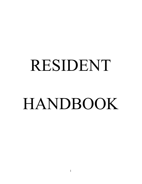# RESIDENT HANDBOOK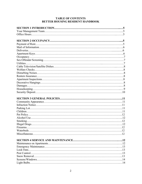# **TABLE OF CONTENTS BETTER HOUSING RESIDENT HANDBOOK**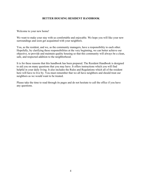## **BETTER HOUSING RESIDENT HANDBOOK**

Welcome to your new home!

We want to make your stay with us comfortable and enjoyable. We hope you will like your new surroundings and soon get acquainted with your neighbors.

You, as the resident, and we, as the community managers, have a responsibility to each other. Hopefully, by clarifying these responsibilities at the very beginning, we can better achieve our objective, to provide and maintain quality housing so that this community will always be a clean, safe, and respected addition to the neighborhood.

It is for these reasons that this handbook has been prepared. The Resident Handbook is designed to aid you on many questions that you may have. It offers instructions which you will find helpful in your daily living. It also includes the Rules and Regulations which all of the resident here will have to live by. You must remember that we all have neighbors and should treat our neighbors as we would want to be treated.

Please take the time to read through its pages and do not hesitate to call the office if you have any questions.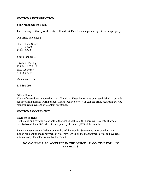#### **SECTION 1 INTRODUCTION**

#### **Your Management Team**

The Housing Authority of the City of Erie (HACE) is the management agent for this property.

Our office is located at

606 Holland Street Erie, PA 16501 814-452-2425

Your Manager is:

Elizabeth Twohig 226 East 17th St. F Erie, PA 16503 814-455-8379

Maintenance Calls:

814-898-0937

#### **Office Hours**

Hours of operation are posted on the office door. These hours have been established to provide service during normal work periods. Please feel free to visit or call the office regarding service requests, rent payment or to obtain assistance.

#### **SECTION 2 OCCUPANCY**

#### **Payment of Rent**

Rent is due and payable on or before the first of each month. There will be a late charge of twenty-five dollars (\$25) if rent is not paid by the tenth  $(10<sup>th</sup>)$  of the month.

Rent statements are mailed out by the first of the month. Statements must be taken to an authorized bank to make payment or you may sign up in the management office to have rent automatically deducted from a bank account.

#### **NO CASH WILL BE ACCEPTED IN THE OFFICE AT ANY TIME FOR ANY PAYMENTS.**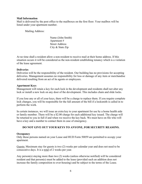#### **Mail Information**

Mail is delivered by the post office to the mailboxes on the first floor. Your mailbox will be listed under your apartment number.

Mailing Address:

Name (John Smith) Apartment # Street Address City & State Zip

At no time shall a resident allow a non-resident to receive mail at their home address. If this situation occurs it will be considered as the non-resident establishing tenancy which is a violation of the lease agreement.

#### **Deliveries**

Deliveries will be the responsibility of the resident. Our building has no provisions for accepting deliveries. Management assumes no responsibility for loss or damage of any item or merchandise delivered resulting from an act of its agents or employees.

#### **Apartment Keys**

Management will retain a key for each lock in the development and residents shall not alter any lock or install a new lock on any door of the development. This includes chain and slide locks.

If you lose any or all of your keys, there will be a charge to replace them. If you require complete lock changes, you will be responsible for the full amount of the bill if a locksmith is called in to perform the work.

In certain instances, we will issue an extra key to your apartment for use by a home health aide or family member. There will be a \$2.00 charge for each additional key issued. The charge will be returned to you in full if and when we receive the key back. We must have on file who will have a key and a number to contact them in case of emergency.

## **DO NOT GIVE OUT YOUR KEYS TO ANYONE, FOR SECURITY REASONS.**

#### **Occupancy**

Only those persons named on your Lease and HUD Form 50059 are permitted to occupy your apartment.

Guests: Maximum stay for guests is two (2) weeks per calendar year and does not need to be consecutive days. It is a total of 2 weeks per year.

Any person(s) staying more than two (2) weeks (unless otherwise notified) will be considered resident and that person(s) must be added to the lease (provided such an addition does not increase the family composition to over-housing) and be subject to the terms of the Lease.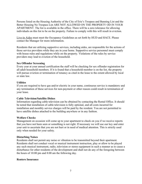Persons listed on the Housing Authority of the City of Erie's Trespass and Banning List and the Better Housing No Trespass List ARE NOT ALLOWED ON THE PROPERTY OD IN YOUR APARTMENT. The list is available in the office. There will be a zero tolerance for allowing individuals on this list to be on the property. Failure to comply with this will result in eviction.

Live-in Aides must meet the Occupancy Guidelines as set forth by HUD and HACE. Please contact the Manager for more information.

Residents that are utilizing supportive services, including aides, are responsible for the actions of those service providers while they are in your home. Supportive service personnel must comply with house rules and regulations while on the property. Violations of the rules by service providers may lead to eviction of the household.

#### **Sex Offender Screening**

Every year at your annual certification the staff will be checking for sex offender registration for all adult household members. If it is found that a household member is on the list, the property will pursue eviction or termination of tenancy as cited in the lease to the extent allowed by local or state law.

## **Utilities**

If you are required to have gas and/or electric in your name, continuous service is mandatory and any termination of these services for non-payment or other reason could result in termination of your lease.

## **Cable Television/Satellite Dishes**

Information regarding cable television can be obtained by contacting the Rental Office. It should be noted that installation of cable television is fully optional, and all costs incurred for installation and monthly service charges will be paid by the resident. You are not permitted to have satellite dishes attached to the building anywhere or in any fashion.

## **Welfare Checks**

Management on occasion will come up to your apartment to check on you if we receive reports that you have not been seen or something is not right. If necessary we will use our key and enter your unit to ascertain that you are not hurt or in need of medical attention. This is strictly used only when needed for your safety.

#### **Disturbing Noises**

Residents shall not permit any noise or vibration to be transmitted beyond their apartment. Residents shall not conduct vocal or musical instrument instruction, play or allow to be played any such musical instrument, radio, television or stereo equipment in such a manner as to cause a disturbance for other residents of the development and shall not do any of the foregoing between the hours of 10:00 pm and 8:00 am the following day.

#### **Renters Insurance**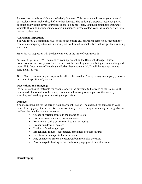Renters insurance is available at a relatively low cost. This insurance will cover your personal possessions from smoke, fire, theft or other damage. The building's property insurance policy does not and will not cover your possessions. To be protected, you must obtain this insurance yourself. If you do not understand renter's insurance, please contact your insurance agency for a further explanation.

#### **Apartment Inspections**

You will receive a minimum of 24 hours notice before any apartment inspection, except in the case of an emergency situation, including but not limited to smoke, fire, natural gas leak, running water, etc.

*Move-In:* An inspection will be done with you at the time of your move-in.

*Periodic Inspections:* Will be made of your apartment by the Resident Manager. These inspections are necessary in order to ensure that the dwelling units are being maintained in good order. U.S. Department of Housing and Urban Development (HUD) will inspect apartments periodically as well.

*Move-Out:* Upon returning all keys to the office, the Resident Manager may accompany you on a move-out inspection of your unit.

#### **Decorations and Hangings**

Do not use adhesive materials for hanging or affixing anything to the walls of the premises. If holes are drilled or cut into the walls, residents shall make proper repairs of the walls by spackling and sanding prior to vacating the premises.

#### **Damages**

You are responsible for the care of your apartment. You will be charged for damages to your home done by you, other residents, visitors or family. Some examples of damages chargeable to residents include but are not limited to:

- Grease or foreign objects in the drains or toilets
- Holes or marks on walls, doors, cabinets
- Burn marks, stains or holes on floors or carpeting
- Broken windows or screens
- Hauling of trash or garbage
- Broken light fixtures, receptacles, appliances or other fixtures
- Lost keys or damages to locks or doors
- Any damages to smoke detectors/carbon monoxide detectors
- Any damage to heating or air conditioning equipment or water heater

## **Housekeeping**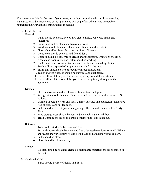You are responsible for the care of your home, including complying with our housekeeping standards. Periodic inspections of the apartments will be performed to assure acceptable housekeeping. Our housekeeping standards include:

A. Inside the Unit

General:

- 1. Walls should be clean, free of dirt, grease, holes, cobwebs, marks and fingerprints
- 2. Ceilings should be clean and free of cobwebs.
- 3. Windows should be clean. Shades and blinds should be intact.
- 4. Floors should be clean, clear, dry and free of hazards.
- 5. Woodwork should be clean and free of dust.
- 6. Doors should be clean, free of grease and fingerprints. Doorstops should be present and door knobs and locks should be working,
- 7. HVAC units and hot water tanks should not be surrounded by clutter.
- 8. Trash will be disposed of properly and not left in the unit.
- 9. Entire unit should be free of rodent or insect infestations.
- 10. Tables and flat surfaces should be dust free and uncluttered.
- 11. Do not allow clothing or other items to pile up around the apartment.
- 12. Do not allow clutter to prohibit you from moving freely throughout the apartment.

#### Kitchen:

- 1. Stove and oven should be clean and free of food and grease.
- 2. Refrigerator should be clean. Freezer should not have more than  $\frac{1}{2}$  inch of ice buildup.
- 3. Cabinets should be clean and neat. Cabinet surfaces and countertops should be free of grease and spilled food.
- 4. Sink should be free of grease and garbage. There should be no build of dirty dishes.
- 5. Food storage areas should be neat and clean without spilled food.
- 6. Trash/Garbage should be in a trash container until it is taken out.

#### Bathroom:

- 1. Toilet and tank should be clean and free.
- 2. Tub and shower should be clean and free of excessive mildew or mold. Where applicable shower curtains should be in place and adequately long enough.
- 3. Sink should be clean.
- 4. Floor should be clean and dry.

#### Storage:

- 1. Closets should be neat and clean. No flammable materials should be stored in the unit.
- B. Outside the Unit
	- 1. Yards should be free of debris and trash.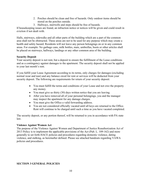- 2. Porches should be clean and free of hazards. Only outdoor items should be stored on the porches outside.
- 3. Hallways, stairwells and steps should be free of hazards.

If housekeeping issues are found, an infraction notice or notices will be given and could result in eviction if not dealt with.

Halls, stairways, sidewalks and all other parts of the building which are a part of the common area shall not be obstructed. These areas are not to be used for any purpose which may create a health and safety hazard. Residents will not leave any person belongings on or in any common areas. For example: No garbage cans, milk bottles, mats, umbrellas, boots or other articles shall be placed on stairways, hallways, landings or any other common area of the building.

# **Security Deposit**

Your security deposit is not rent, but a deposit to ensure the fulfillment of the Lease conditions and as a contingency against damages to the apartment. The security deposit shall not be applied to your last month's rent.

If you fulfill your Lease Agreement according to its terms, only charges for damages (excluding normal wear and tear) and any balance owed for rent or services will be deducted from your security deposit. The following are requirements for return of your security deposit:

- You must fulfill the terms and conditions of your Lease and not owe the property any money.
- You must give us thirty (30) days written notice that you are leaving.
- After you have removed all of your personal belongings, you and the manager may inspect the apartment for any damage charges.
- You must give the Office a valid forwarding address.
- You are not considered officially vacated until all keys are returned to the Office. Rent will continue to be charged until such a time as you have vacated completed.

The security deposit, or any portion thereof, will be returned to you in accordance with PA state law.

# **Violence Against Women Act**

The purpose of the Violence Against Women and Department of Justice Reauthorization Act of 2013 Policy is to implement the applicable provisions of the Act (Pub. L. 109-162) and more generally to set forth HACE policies and procedures regarding domestic violence, dating violence, and stalking, as hereinafter defined. Please see attached handouts regarding VAWA policies and procedures.

# **SECTION 3 GENERAL POLICIES**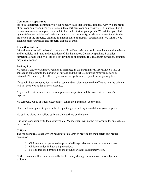#### **Community Appearance**

Since this apartment community is your home, we ask that you treat it in that way. We are proud of our community and need your pride in the apartment community as well. In this way, it will be an attractive and safe place in which to live and entertain your guests. We ask that you abide by the following policies and maintain an attractive community, a safe environment and for the protection of the property. Littering is a major cause of property deterioration. We ask that you clean up after yourselves and properly dispose of trash.

#### **Infraction Notices**

Infraction notices will be issued to any and all residents who are not in compliance with the lease and/or policies and rules and regulations of this handbook. Generally speaking 3 smaller infractions of any kind will lead to a 30-day notice of eviction. If is it a larger infraction, eviction may ensue sooner.

#### **Parking Lot**

No repair work or washing of vehicles is permitted in the parking areas. Excessive oil loss or spillage is damaging to the parking lot surface and the vehicle must be removed as soon as detected. Please notify the office if you notice oil spots in large quantities in parking lots.

If you will have company for more than several days, please advise the office so that the vehicle will not be towed at the owner's expense.

Any vehicle that does not have current plate and inspection will be towed at the owner's expense.

No campers, boats, or trucks exceeding  $\frac{3}{4}$  ton in the parking lot at any time.

Please tell your guests to park in the designated guest parking if available at your property.

No parking along any yellow curb area. No parking on the lawn.

It is your responsibility to lock your vehicle. Management will not be responsible for any vehicle or its contents.

#### **Children**

The following rules shall govern behavior of children to provide for their safety and proper demeanor:

- 1. Children are not permitted to play in hallways, elevator areas or common areas.
- 2. Children under 18 have a 9 pm curfew.
- 3. No children are permitted on the grounds without adult supervision.

NOTE: Parents will be held financially liable for any damage or vandalism caused by their children.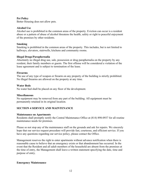#### **Pet Policy**

Better Housing does not allow pets.

#### **Alcohol Use**

Alcohol use is prohibited in the common areas of the property. Eviction can occur is a resident abuse or a pattern of abuse of alcohol threatens the health, safety or right to peaceful enjoyment of the premises by other residents.

#### **Smoking**

Smoking is prohibited in the common areas of the property. This includes, but is not limited to hallways, elevators, stairwells, kitchens and community rooms.

#### **Illegal Drugs/Paraphernalia**

Absolutely no illegal drug use, sale, possession or drug paraphernalia on the property by any resident, their family members or guests. The first offense will be considered a violation of the lease agreement and is subject to termination of the lease.

#### **Firearms**

The use of any type of weapon or firearm on any property of the building is strictly prohibited. No illegal firearms are allowed on the property at any time.

#### **Water Beds**

No water bed shall be placed on any floor of the development.

#### **Miscellaneous**

No equipment may be removed from any part of the building. All equipment must be permanently retained in its original location.

## **SECTION 4 SERVICE AND MAINTENANCE**

#### **Maintenance on Apartments**

Residents shall promptly notify the Central Maintenance Office at (814) 898-0937 for all routine maintenance needs for premises.

Please so not stop any of the maintenance staff on the grounds and ask for repairs. We sincerely hope that our service request procedure will provide fast, courteous, and efficient service. If you have any questions regarding our service policy, please contact the Office.

Management reserves the right to enter apartments without advance notification when there is reasonable cause to believe that an emergency exists or that abandonment has occurred. In the event that the Resident and all adult members of the household are absent from the premises at the time of entry, the Management shall leave a written statement specifying the date, time and purpose of entry.

## **Emergency Maintenance**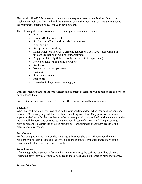Please call 898-0937 for emergency maintenance requests after normal business hours, on weekends or holidays. Your call will be answered by an after hours call service and relayed to the maintenance person on call for your development.

The following items are considered to be emergency maintenance items:

- Fire
- Furnace/Boiler issue, no heat
- Smoke Alarm/Carbon Monoxide Alarm issues
- Plugged sink
- Refrigerator not working
- Major water leak (not just a dripping faucet) or if you have water coming in through the ceiling or wall of your apartment
- Plugged toilet (only if there is only one toilet in the apartment)
- Hot water tank leaking or no hot water
- Roof leak
- No electric to your apartment
- Gas leak
- Stove not working
- Frozen pipes
- Locked out of apartment (fees apply)

Only emergencies that endanger the health and/or safety of resident will be responded to between midnight and 6 am.

For all other maintenance issues, please the office during normal business hours.

## **Lockouts**

When you call for a lock out, you must be by your apartment door when maintenance comes to unlock it. Otherwise, they will leave without unlocking your door. Only persons whose names appear on the Lease for the premises or other written permission provided to Management by the resident will be permitted entrance to an apartment in case of a "lock out". The person must provide reasonable identification when requesting Management to grant them access to the premises for any reason.

## **Pest Control**

Professional pest control is provided on a regularly scheduled basis. If you should have a problem with insects, please call the Office. Failure to comply with such instructions could constitute a health hazard to other residents.

## **Snow Removal**

After an appreciable amount of snowfall (2 inches or more) the parking lot will be plowed. During a heavy snowfall, you may be asked to move your vehicle in order to plow thoroughly.

#### **Screens/Windows**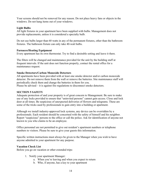Your screens should not be removed for any reason. Do not place heavy fans or objects in the windows. Do not hang items out of your windows.

#### **Light Bulbs**

All light fixtures in your apartment have been supplied with bulbs. Management does not provide replacements, unless it is considered a specialty bulb.

Do not use bulbs larger than 60 watts in any of the permanent fixtures, other than the bathroom fixtures. The bathroom fixture can only take 40-watt bulbs.

#### **Furnaces/Heating Equipment**

Every apartment has its own thermostat. Try to find a desirable setting and leave it there.

The filters will be changed and maintenance provided for the unit by the building staff at frequent intervals. If the unit does not function properly, contact the rental office for a maintenance request.

#### **Smoke Detectors/Carbon Monoxide Detectors**

All apartments have been provided with at least one smoke detector and/or carbon monoxide detector. Do not remove them from the wall or remove the batteries. Site maintenance staff will periodically check them and change the batteries in them for you. Please be advised – it is against fire regulations to disconnect smoke detectors.

#### **SECTION 5 SAFETY**

Adequate protection of and your property is of great concern to Management. Be sure to make use of any locks provided to ensure that "uninvited persons" cannot gain access. Close and lock door at all times. Be suspicious of unexpected deliveries of flowers and telegrams. These are some of the tricks used by professionals to gain entry into a building or apartment.

Although we install industry-approved lock systems, any device can be overridden by a professionals. Each resident should be concerned with the safety of himself and his neighbor. Report "suspicious" persons to the office or call the police. Ask for identification of anyone not known to you who claims to be an employee.

Office personnel are not permitted to give out resident's apartment numbers or telephone numbers to visitors. Please be sure to give your guests this information.

Specific written instructions must always be given to the Manager when you wish to have anyone admitted to your apartment for any purpose.

#### **Vacation Check List**

Before you go on vacation or other extended trips:

- 1. Notify your apartment Manager:
	- a. When you're leaving and when you expect to return
	- b. Who, if anyone, has a key to your apartment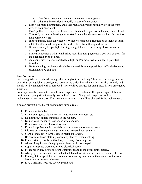- c. How the Manager can contact you in case of emergency
- d. What relative or friend to notify in case of emergency
- 2. Stop your mail, newspapers, and other regular deliveries normally left at the front door of your apartment.
- 3. Don't pull all the drapes or close all the blinds unless you normally keep them closed.
- 4. Turn off your central heating thermostat down a few degrees to save fuel. Do not turn heat completely off.
- 5. In the summer, close all windows. Windows open just a fraction of an inch can let in a lot of water in a driving rain storm if it blows from the right direction.
- 6. If you normally keep a light burning at night, leave it on so things look normal in your apartment.
- 7. Make arrangements with rental office regarding rent payments if you will be away for an extended period of time.
- 8. An economical timer connected to a light and/or radio will often deer a potential intruder.
- 9. Before leaving, cupboards should be checked for unwrapped foodstuffs. Garbage and trash should be emptied.

#### **Fire Prevention**

Fire extinguishers are placed strategically throughout the building. These are for emergency use only. If an extinguisher is used, please contact the office immediately. It is for fire use only and should not be tampered with or removed. There will be charges for using these in non-emergency situations.

Some apartments come with a small fire extinguisher for each unit. It is your responsibility to use it in emergency situations only. We will take care of the yearly inspection and or replacement when necessary. If it is stolen or missing, you will be charged for its replacement.

You can prevent a fire by following a few simple rules:

- 1. Do not smoke in bed.
- 2. Do not put lighted cigarettes, etc. in ashtrays or wastebaskets.
- 3. Do not throw lighted materials in the rubbish.
- 4. Do not leave the range unattended when cooking.
- 5. Do not overload the electrical system.
- 6. Do not keep flammable materials in your apartment or storage area.
- 7. Dispose of newspapers, magazines, and grocery bags regularly.
- 8. Store all matches in tightly-closed metal containers.
- 9. Be careful of loose clothing, especially sleeves, when cooking.
- 10. Keep curtains, towels, potholders, etc., away from range top.
- 11. Always keep household equipment clean and in good repair.
- 12. Repair or replace worn and frayed electrical cords.
- 13. Please report any fire to the Fire Department and to the office immediately.
- 14. Always give an accurate and understandable address to aid fire units in locating the fire.
- 15. Fire regulations prohibit the residents from storing any item in the area where the water heater and furnaces are located.
- 16. Live Christmas trees are strictly prohibited.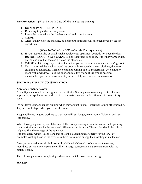## **Fire Protection** (What To Do In Case Of Fire In Your Apartment)

- 1. DO NOT PANIC KEEP CALM.
- 2. Do not try to put the fire out yourself.
- 3. Leave the room where the fire has started and close the door.
- 4. Call 911.
- 5. After you have left the building, do not return until approval has been given by the fire department.

## (What To Do In Case Of Fire Outside Your Apartment)

- 1. If you suspect a fire or smell smoke outside your apartment door, do not open the door. **DO NOT PANIC - STAY CALM.** Feel the door and door knob. If it either warm or hot, you can be sure that there is a fire on the other side.
- 2. Call 911 to let emergency services know that you are in your apartment and can't get out.
- 3. Next, try to seal the cracks around the door with wet towels, sheets, clothing, drapes or anything of that nature. If smoke continues coming into your apartment, go to another room with a window. Close the door and seal this room. If the smoke becomes unbearable, open the window and stay near it. Help will only be minutes away.

# **SECTION 6 ENERGY CONSERVATION**

#### **Appliance Energy Savers**

About 8 percent of all the energy used in the United States goes into running electrical home appliances, so appliance use and selection can make a considerable difference in home utility costs.

Do not leave your appliances running when they are not in use. Remember to turn off your radio, TV, or record player when you leave the room.

Keep appliances in good working so that they will last longer, work more efficiently, and use less energy.

When buying appliances, read labels carefully. Compare energy use information and operating costs or similar models by the same and different manufacturers. The retailer should be able to help you find the wattage of the appliance.

Use appliances wisely; use the one that takes the least amount of energy for the job. For example: toasting bread in the oven uses three times more energy than toasting it in a toaster.

Energy conservation results in lower utility bills which benefit both you and the owner, regardless of who directly pays the utilities. Energy conservation is also consistent with the nation's goals.

The following are some simple steps which you can take to conserve energy.

## **WATER**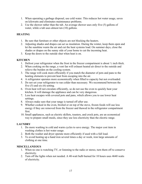- 1. When operating a garbage disposal, use cold water. This reduces hot water usage, saves on kilowatts and eliminates maintenance problems.
- 2. Use the shower rather than the tub. An average shower uses only five (5) gallons of water, while a tub uses almost ten (10) gallons.

# **HEATING**

- 1. Be sure that furniture or other objects are not blocking the heaters.
- 2. Adjusting shades and drapes can act as insulation. During the winter, keep them open and let the sunshine warm the air and cut the heat systems load. On summer days, close the shades or drapes on the sunny side of your home to cut the incoming heat.
- 3. Keep the doors to the outside shut when heat is on.

# **KITCHEN**

- 1. Defrost your refrigerator when the frost in the freezer compartment is about  $\frac{1}{2}$  inch thick.
- 2. When cooking on the range, a vent fan will exhaust heated air direct to the outside and relieve the burden on the cooling system.
- 3. The range will cook more efficiently if you match the diameter of pots and pans to the heating elements to prevent heat from escaping into the air.
- 4. A refrigerator operates more economically when filled to capacity but not overloaded.
- 5. Do not set your refrigerator to run colder than necessary. We recommend between the five  $(5)$  and six  $(6)$  setting.
- 6. Oven heat will not circulate efficiently, so do not use the oven to quickly heat your kitchen. It will damage the appliance and can be very dangerous.
- 7. Less heat escapes with covered pots and pans, which allows you to use lower heat settings.
- 8. Always make sure that your range is turned off after use.
- 9. Whether cooked in the oven, broiled or on top of the stove, frozen foods will use less energy if they are removed from the freezer and thawed in the refrigerator compartment first.
- 10. Small appliances, such as electric skillets, toasters, and crock pots, are an economical way to prepare small meals, since they use less electricity than the electric range.

## **LAUNDRY**

- 1. Do more washing in cold and warm cycles to save energy. The major cost item in washing clothes is hot water usage.
- 2. Both the washer and dryer operate more efficiently if used with a full load.
- 3. To avoid heating up a hand iron several times a day or week, iron large amounts of clothing at one time.

## **MISCELLANEOUS**

- 1. When no one is watching TV, or listening to the radio or stereo, turn them off to conserve electricity.
- 2. Turn off the lights when not needed. A 40-watt bulb burned for 10 hours uses 4640 watts of electricity.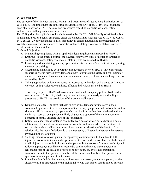## **VAWA POLICY**

The purpose of the Violence Against Woman and Department of Justice Reauthorization Act of 2013 Policy is to implement the applicable provisions of the Act (Pub. L. 109-162) and more generally to set forth HACE policies and procedures regarding domestic violence, dating violence, and stalking, as hereinafter defined.

This Policy shall be applicable to the administration by HACE of all federally subsidized public housing and Section 8 rental assistance under the United States Housing Act of 1937 (42 U.S.C. 1437 et. Seq.). Notwithstanding its title, this policy is gender-neutral, and its protections are available to males who are victims of domestic violence, dating violence, or stalking as well as female victims of such violence.

Goals and Objectives:

- A. Maintaining compliance with all applicable legal requirements imposed by VAWA.
- B. Ensuring (to the extent possible) the physical safety of victims of actual or threatened domestic violence, dating violence, or stalking who are assisted by HACE.
- C. Providing and maintaining housing opportunities for victims of domestic violence, adting violence, or stalking.
- D. Creating and maintaining collaborative arrangements between HACE, law enforcement authorities, victim service providers, and others to promote the safety and well-being of victims of actual and threatened domestic violence, dating violence and stalking, who are assisted by HACE.
- E. Taking appropriate action in response in response to an incident or incidents of domestic violence, dating violence, or stalking, affecting individuals assisted by HACE.

This policy is part of HACE admissions and continued occupancy policy. To the extent any provision of this policy shall vary or contradict any previously adopted policy or procedure of HACE, the provisions of this policy shall prevail.

- A. Domestic Violence: The term includes felony or misdemeanor crimes of violence committed by a current or former spouse of the victim, by a person with whom the victim shares a child in common, by a person who is cohabiting with or has cohabited with the victim as a spouse, by a person similarly situated to a spouse of the victim under the domestic or family violence laws of the jurisdiction.
- B. Dating Violence: means violence committed by a person who is or has been in a social relationship of romantic or intimate nature with the victim and where the existence of such a relationship shall be determined based on a consideration of the length of the relationship, the type of relationship or the frequency of interaction between the persons involved in the relationship.
- C. Stalking: means to follow, pursue, or repeatedly commit acts with the intent to kill, injure, harass, or intimidate another person and to place under surveillance with the intent to kill, injure, harass, or intimidate another person. In the course of, or as a result of, such following, pursuit, surveillance or repeatedly committed acts, to place a person in reasonable fear of the death of, or serious bodily injury to, or to cause substantial emotional harm to that person, a member of the immediate family of that person, or the spouse or intimate partner of that person.
- D. Immediate Family Member: means, with respect to a person, a spouse, a parent, brother, sister, or child of that person, or an individual to who that person stands in loco parentis,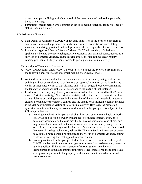or any other person living in the household of that person and related to that person by blood or marriage.

E. Perpetrator: means person who commits an act of domestic violence, dating violence or stalking against a victim.

#### Admissions and Screening

- A. Non-Denial of Assistance: HACE will not deny admission to the Section 8 program to any person because that person is or has been a victim of domestic violence, dating violence, or stalking, provided that such person is otherwise qualified for such admission.
- B. Protections Against Adverse Effects of Abuse: HACE will not deny admission to applicants who may be experiencing negative economic and criminal consequences as a survivor of domestic violence. These adverse effects include ruining credit history, causing poor rental history or being forced to participate in criminal activity.

#### Termination of Tenancy or Assistance

- A. VAWA Protections: Under VAWA, persons assisted under the Section 8 program have the following specific protections, which will be observed by HACE.
- 1. An incident or incidents of actual or threatened domestic violence, dating violence, or stalking will not be considered to be "serious or repeated" violation of the lease by the victim or threatened victim of that violence and will not be good cause for terminating the tenancy or occupancy rights of or assistance to the victim of that violence.
- 2. In addition to the foregoing, tenancy or assistance will not be terminated by HACE as a result of criminal activity, if that criminal activity is directly related to domestic violence, dating violence or stalking engaged in by a member of the assisted household, a guest or another person under the tenant's control, and the tenant or an immediate family member is the victim or threatened victim of this criminal activity. However, the protection against termination of tenancy or assistance described in this paragraph is subject to the following limitations:
	- a. Nothing contained in this paragraph shall limit any otherwise available authority of HACE or a Section 8 owner or manager to terminate tenancy, evict, or to terminate assistance, as the case may be, for any violation of a lease of program requirement not premised on the act or act of domestic violence, dating violence, or stalking in question against the demand of a member of the tenant's household. However, in taking such action, neither HACE nor a Section 8 manager or owner may apply a more demanding standard to the victim of domestic violence, dating violence or stalking that that applied to other tenants.
	- b. Nothing contained in this paragraph shall be construed to limit the authority of HACE or a Section 8 owner or manager to terminate from assistance any tenant or lawful applicant if the owner, manager of HACE, as they may be, can demonstrate an actual and imminent threat to other tenants or to those employed at or providing service to the property, if the tenant is not evicted or terminated from assistance.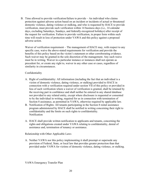B. Time allowed to provide verification/failure to provide – An individual who claims protection against adverse action based on an incident or incidents of actual or threatened domestic violence, dating violence or stalking, and who is requested by HACE to provide verification, must provide such verification within 14 business days (i.e., 14 calendar days, excluding Saturdays, Sundays, and federally-recognized holidays) after receipt of the request for verification. Failure to provide verification, in proper form within such time will result in loss of protection under VAWA and this policy against a proposed adverse action.

Waiver of verification requirement – The management of HACE may, with respect to any specific case, waive the above-stated requirements for verification and provide the benefits of this policy based on the victim's statement or other corroborating evidence. Such waiver may be granted in the sole discretion of the management. Any such waive must be in writing. Waiver in a particular instance or instances shall not operate as precedent for, or create any right to, waiver in any other case or cases, regardless of similarity in circumstances.

## Confidentiality

- A. Right of confidentiality: All information (including the fact that an individual is a victim of domestic violence, dating violence, or stalking) provided to HACE in connection with a verification required under section VII of this policy or provided in lieu of such verification where a waiver of verification is granted, shall be retained by the receiving part in confidence and shall neither be entered in any shared database nor provided to any related entity, except where disclosure is requested or consented to by the individual in writing, required for us in connection with termination of Section 8 assistance, as permitted in VAWA, otherwise required by applicable law.
- B. Notification of Rights: All tenants participating in the Section 8 rental assistance program administered by HACE shall be notified in writing concerning their right to confidentiality and the limits on such rights to confidentiality. Notification
- A. HACE shall provide written notification to applicants and tenants, concerning the rights and obligations created under VAWA relating to confidentiality, denial of assistance and, termination of tenancy or assistance.

Relationship with Other Applicable Laws

A. Neither VAWA nor this policy implementing it shall preempt or supersede any provision of Federal, State, or local law that provides greater protection than that provided under VAWA for victims of domestic violence, dating violence, or stalking.

VAWA Emergency Transfer Plan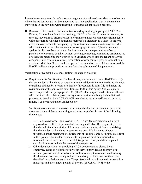Internal emergency transfer refers to an emergency relocation of a resident to another unit where the resident would not be categorized as a new application; that is, the resident may reside in the new unit without having to undergo an application process.

B. Removal of Perpetrator: Further, notwithstanding anything in paragraph VI.A.2 or Federal, State or local law to the contrary, HACE or Section 8 owner or manager, as the case may be, may bifurcate a lease, or remove a household member from a lease, without regard to whether a household member is a signatory to a lease, in order to evict, remove, terminate occupancy rights, or terminate assistance to any individual who is a tenant or lawful occupant and who engages in acts of physical violence against family members or others. Such action against the perpetrator of such physical violence may be taken without evicting, removing, terminating assistance to, or otherwise penalizing the victim of such violence who is also the tenant or lawful occupant. Such eviction, removal, termination of occupancy rights, or termination of assistance shall be effected on the property. Leases and/or Lease Addendums used for HACE shall contain provisions setting forth the substance of this paragraph.

Verification of Domestic Violence, Dating Violence or Stalking

A. Requirement for Verification: The law allows, but does not require, HACE to verify that an incident or incidents of actual or threatened domestic violence dating violence, or stalking claimed by a tenant or other lawful occupant is bona fide and meets the requirements of the applicable definitions set forth in this policy. Subject only to waiver as provided in paragraph VII. C., (HACE shall require verification in all cases where an individual claims protection against an action involving such individual proposed to be taken by HACE.) HACE may elect to require verification, or not to require it as permitted under applicable law.

Verification of a claimed inconsistent or incidents of actual or threatened domestic violence, dating violence or stalking may be accomplished in one of the following three ways:

- 1. HUD-approved form by providing HACE a written certification, on a form approved by the U.S. Department of Housing and Urban Development (HUD), that the individual is a victim of domestic violence, dating violence or stalking that the incident or incidents in question are bona fide incidents of actual or threatened abuse meeting the requirements of the applicable definition(s) set forth in this policy. The incident or incidents in question must be described in reasonable detail as required in the HUD-approved form, and the completed certification must include the name of the perpetrator.
- 2. Other documentation- by providing HACE documentation signed by an employee, agent, or volunteer of a victim service provider, an attorney, or a medical professional, from whom the victim as sought assistance in addressing the domestic violence, dating violence or stalking, or the effects of the abuse, described in such documentation. The professional providing the documentation must sign and attest under penalty of perjury (28 U.S.C. 1746) to the